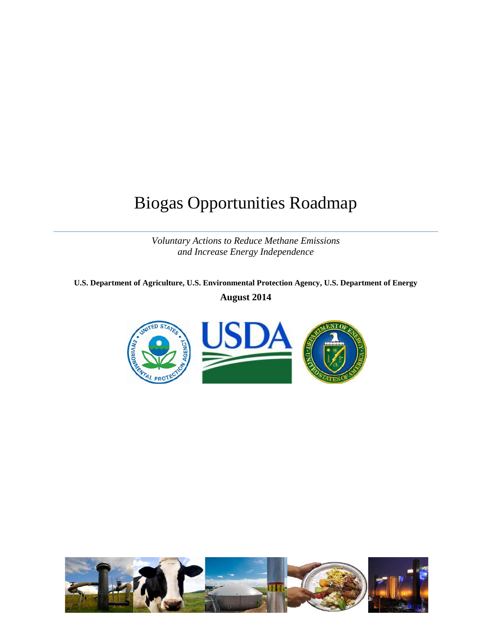# Biogas Opportunities Roadmap

*Voluntary Actions to Reduce Methane Emissions and Increase Energy Independence* 

**U.S. Department of Agriculture, U.S. Environmental Protection Agency, U.S. Department of Energy August 2014** 



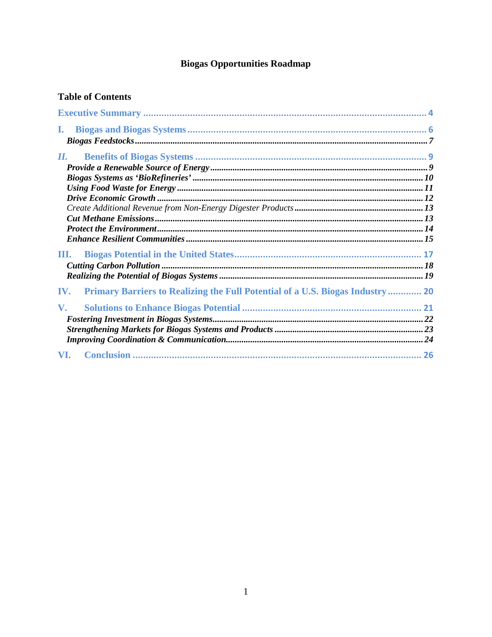# **Biogas Opportunities Roadmap**

# **Table of Contents**

| L.                      |                                                                                       |  |
|-------------------------|---------------------------------------------------------------------------------------|--|
| П.                      |                                                                                       |  |
|                         |                                                                                       |  |
|                         |                                                                                       |  |
|                         |                                                                                       |  |
|                         |                                                                                       |  |
|                         |                                                                                       |  |
|                         |                                                                                       |  |
|                         |                                                                                       |  |
|                         |                                                                                       |  |
| Ш.                      |                                                                                       |  |
|                         |                                                                                       |  |
|                         |                                                                                       |  |
| IV.                     | <b>Primary Barriers to Realizing the Full Potential of a U.S. Biogas Industry  20</b> |  |
| $\mathbf{V}_{\text{-}}$ |                                                                                       |  |
|                         |                                                                                       |  |
|                         |                                                                                       |  |
|                         |                                                                                       |  |
| VI.                     |                                                                                       |  |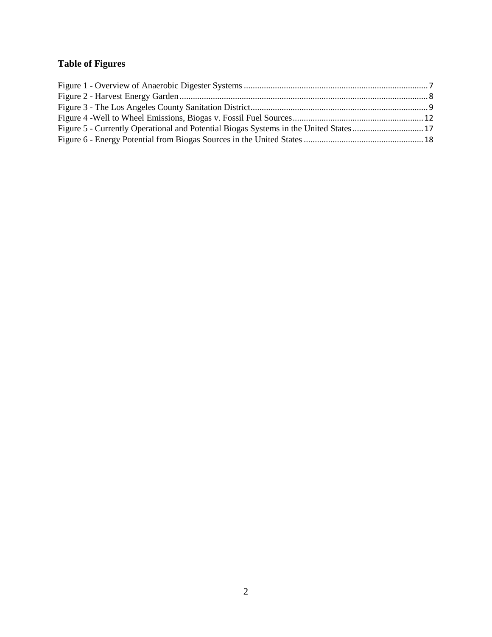# **Table of Figures**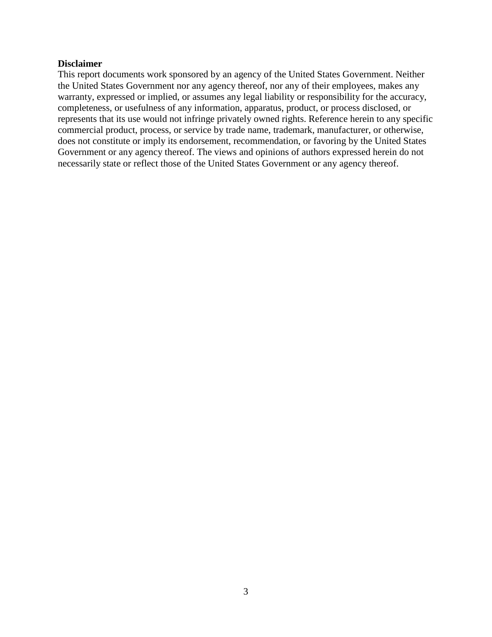#### **Disclaimer**

This report documents work sponsored by an agency of the United States Government. Neither the United States Government nor any agency thereof, nor any of their employees, makes any warranty, expressed or implied, or assumes any legal liability or responsibility for the accuracy, completeness, or usefulness of any information, apparatus, product, or process disclosed, or represents that its use would not infringe privately owned rights. Reference herein to any specific commercial product, process, or service by trade name, trademark, manufacturer, or otherwise, does not constitute or imply its endorsement, recommendation, or favoring by the United States Government or any agency thereof. The views and opinions of authors expressed herein do not necessarily state or reflect those of the United States Government or any agency thereof.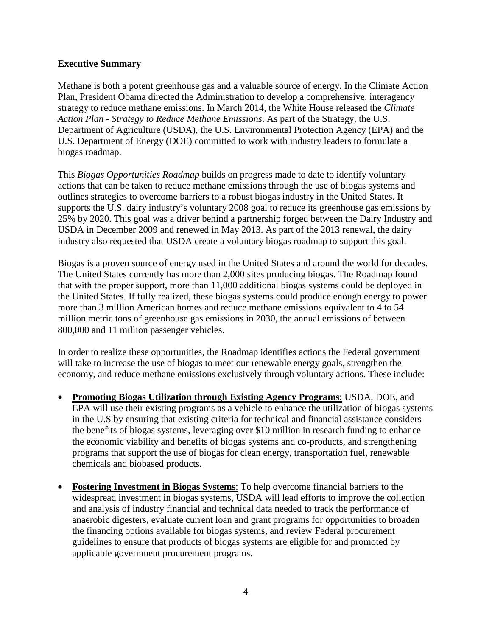# <span id="page-4-0"></span>**Executive Summary**

Methane is both a potent greenhouse gas and a valuable source of energy. In the Climate Action Plan, President Obama directed the Administration to develop a comprehensive, interagency strategy to reduce methane emissions. In March 2014, the White House released the *Climate Action Plan - Strategy to Reduce Methane Emissions*. As part of the Strategy, the U.S. Department of Agriculture (USDA), the U.S. Environmental Protection Agency (EPA) and the U.S. Department of Energy (DOE) committed to work with industry leaders to formulate a biogas roadmap.

This *Biogas Opportunities Roadmap* builds on progress made to date to identify voluntary actions that can be taken to reduce methane emissions through the use of biogas systems and outlines strategies to overcome barriers to a robust biogas industry in the United States. It supports the U.S. dairy industry's voluntary 2008 goal to reduce its greenhouse gas emissions by 25% by 2020. This goal was a driver behind a partnership forged between the Dairy Industry and USDA in December 2009 and renewed in May 2013. As part of the 2013 renewal, the dairy industry also requested that USDA create a voluntary biogas roadmap to support this goal.

Biogas is a proven source of energy used in the United States and around the world for decades. The United States currently has more than 2,000 sites producing biogas. The Roadmap found that with the proper support, more than 11,000 additional biogas systems could be deployed in the United States. If fully realized, these biogas systems could produce enough energy to power more than 3 million American homes and reduce methane emissions equivalent to 4 to 54 million metric tons of greenhouse gas emissions in 2030, the annual emissions of between 800,000 and 11 million passenger vehicles.

In order to realize these opportunities, the Roadmap identifies actions the Federal government will take to increase the use of biogas to meet our renewable energy goals, strengthen the economy, and reduce methane emissions exclusively through voluntary actions. These include:

- **Promoting Biogas Utilization through Existing Agency Programs**: USDA, DOE, and EPA will use their existing programs as a vehicle to enhance the utilization of biogas systems in the U.S by ensuring that existing criteria for technical and financial assistance considers the benefits of biogas systems, leveraging over \$10 million in research funding to enhance the economic viability and benefits of biogas systems and co-products, and strengthening programs that support the use of biogas for clean energy, transportation fuel, renewable chemicals and biobased products.
- **Fostering Investment in Biogas Systems**: To help overcome financial barriers to the widespread investment in biogas systems, USDA will lead efforts to improve the collection and analysis of industry financial and technical data needed to track the performance of anaerobic digesters, evaluate current loan and grant programs for opportunities to broaden the financing options available for biogas systems, and review Federal procurement guidelines to ensure that products of biogas systems are eligible for and promoted by applicable government procurement programs.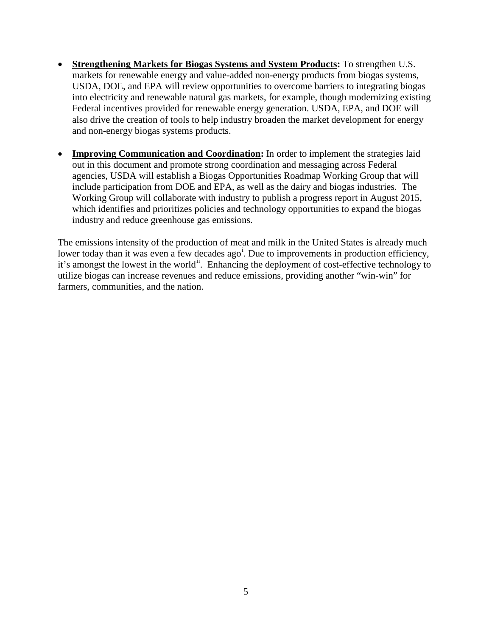- **Strengthening Markets for Biogas Systems and System Products:** To strengthen U.S. markets for renewable energy and value-added non-energy products from biogas systems, USDA, DOE, and EPA will review opportunities to overcome barriers to integrating biogas into electricity and renewable natural gas markets, for example, though modernizing existing Federal incentives provided for renewable energy generation. USDA, EPA, and DOE will also drive the creation of tools to help industry broaden the market development for energy and non-energy biogas systems products.
- **Improving Communication and Coordination:** In order to implement the strategies laid out in this document and promote strong coordination and messaging across Federal agencies, USDA will establish a Biogas Opportunities Roadmap Working Group that will include participation from DOE and EPA, as well as the dairy and biogas industries. The Working Group will collaborate with industry to publish a progress report in August 2015, which identifies and prioritizes policies and technology opportunities to expand the biogas industry and reduce greenhouse gas emissions.

The emissions intensity of the production of meat and milk in the United States is already much lower today than [i](#page-27-0)t was even a few decades ago<sup>i</sup>. Due to improvements in production efficiency, it's amongst the lowest in the world<sup>[ii](#page-27-1)</sup>. Enhancing the deployment of cost-effective technology to utilize biogas can increase revenues and reduce emissions, providing another "win-win" for farmers, communities, and the nation.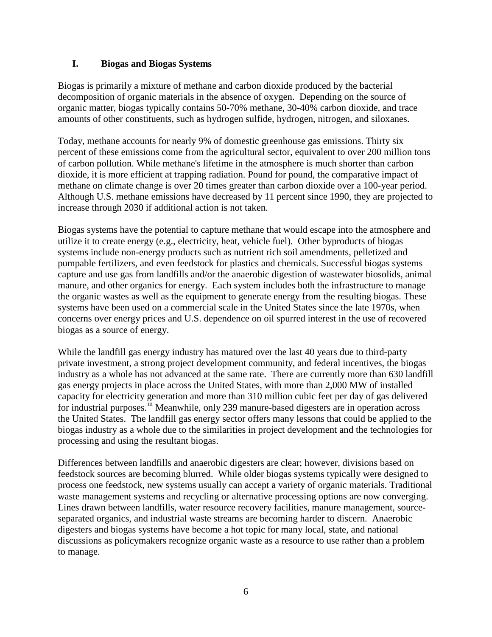# <span id="page-6-0"></span>**I. Biogas and Biogas Systems**

Biogas is primarily a mixture of methane and carbon dioxide produced by the bacterial decomposition of organic materials in the absence of oxygen. Depending on the source of organic matter, biogas typically contains 50-70% methane, 30-40% carbon dioxide, and trace amounts of other constituents, such as hydrogen sulfide, hydrogen, nitrogen, and siloxanes.

Today, methane accounts for nearly 9% of domestic greenhouse gas emissions. Thirty six percent of these emissions come from the agricultural sector, equivalent to over 200 million tons of carbon pollution. While methane's lifetime in the atmosphere is much shorter than carbon dioxide, it is more efficient at trapping radiation. Pound for pound, the comparative impact of methane on climate change is over 20 times greater than carbon dioxide over a 100-year period. Although U.S. methane emissions have decreased by 11 percent since 1990, they are projected to increase through 2030 if additional action is not taken.

Biogas systems have the potential to capture methane that would escape into the atmosphere and utilize it to create energy (e.g., electricity, heat, vehicle fuel). Other byproducts of biogas systems include non-energy products such as nutrient rich soil amendments, pelletized and pumpable fertilizers, and even feedstock for plastics and chemicals. Successful biogas systems capture and use gas from landfills and/or the anaerobic digestion of wastewater biosolids, animal manure, and other organics for energy. Each system includes both the infrastructure to manage the organic wastes as well as the equipment to generate energy from the resulting biogas. These systems have been used on a commercial scale in the United States since the late 1970s, when concerns over energy prices and U.S. dependence on oil spurred interest in the use of recovered biogas as a source of energy.

While the landfill gas energy industry has matured over the last 40 years due to third-party private investment, a strong project development community, and federal incentives, the biogas industry as a whole has not advanced at the same rate. There are currently more than 630 landfill gas energy projects in place across the United States, with more than 2,000 MW of installed capacity for electricity generation and more than 310 million cubic feet per day of gas delivered for industrial purposes.<sup>fii</sup> Meanwhile, only 239 manure-based digesters are in operation across the United States. The landfill gas energy sector offers many lessons that could be applied to the biogas industry as a whole due to the similarities in project development and the technologies for processing and using the resultant biogas.

Differences between landfills and anaerobic digesters are clear; however, divisions based on feedstock sources are becoming blurred. While older biogas systems typically were designed to process one feedstock, new systems usually can accept a variety of organic materials. Traditional waste management systems and recycling or alternative processing options are now converging. Lines drawn between landfills, water resource recovery facilities, manure management, sourceseparated organics, and industrial waste streams are becoming harder to discern. Anaerobic digesters and biogas systems have become a hot topic for many local, state, and national discussions as policymakers recognize organic waste as a resource to use rather than a problem to manage.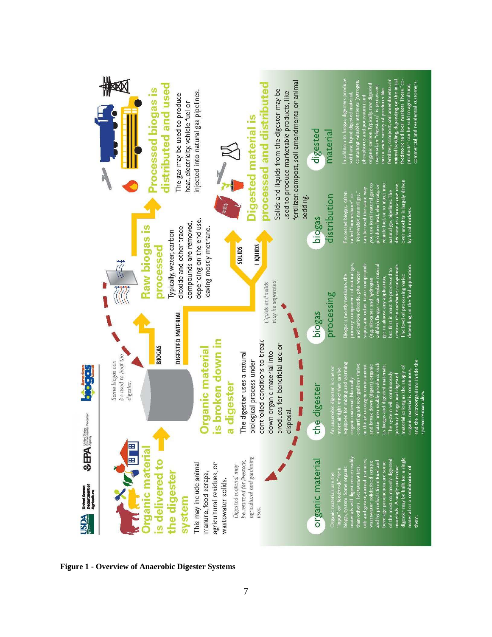<span id="page-7-0"></span>

**Figure 1 - Overview of Anaerobic Digester Systems**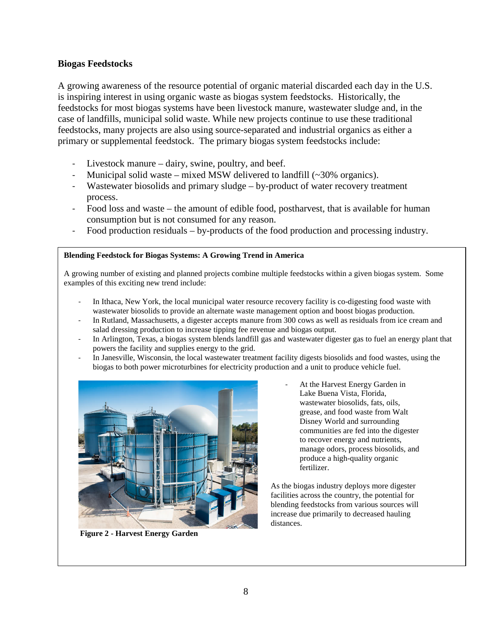# **Biogas Feedstocks**

A growing awareness of the resource potential of organic material discarded each day in the U.S. is inspiring interest in using organic waste as biogas system feedstocks. Historically, the feedstocks for most biogas systems have been livestock manure, wastewater sludge and, in the case of landfills, municipal solid waste. While new projects continue to use these traditional feedstocks, many projects are also using source-separated and industrial organics as either a primary or supplemental feedstock. The primary biogas system feedstocks include:

- Livestock manure dairy, swine, poultry, and beef.
- Municipal solid waste mixed MSW delivered to landfill  $(\sim 30\%$  organics).
- Wastewater biosolids and primary sludge by-product of water recovery treatment process.
- Food loss and waste the amount of edible food, postharvest, that is available for human consumption but is not consumed for any reason.
- Food production residuals by-products of the food production and processing industry.

#### **Blending Feedstock for Biogas Systems: A Growing Trend in America**

A growing number of existing and planned projects combine multiple feedstocks within a given biogas system. Some examples of this exciting new trend include:

- In Ithaca, New York, the local municipal water resource recovery facility is co-digesting food waste with wastewater biosolids to provide an alternate waste management option and boost biogas production.
- In Rutland, Massachusetts, a digester accepts manure from 300 cows as well as residuals from ice cream and salad dressing production to increase tipping fee revenue and biogas output.
- In Arlington, Texas, a biogas system blends landfill gas and wastewater digester gas to fuel an energy plant that powers the facility and supplies energy to the grid.
- In Janesville, Wisconsin, the local wastewater treatment facility digests biosolids and food wastes, using the biogas to both power microturbines for electricity production and a unit to produce vehicle fuel.



 **Figure 2 - Harvest Energy Garden** 

At the Harvest Energy Garden in Lake Buena Vista, Florida, wastewater biosolids, fats, oils, grease, and food waste from Walt Disney World and surrounding communities are fed into the digester to recover energy and nutrients, manage odors, process biosolids, and produce a high-quality organic fertilizer.

As the biogas industry deploys more digester facilities across the country, the potential for blending feedstocks from various sources will increase due primarily to decreased hauling distances.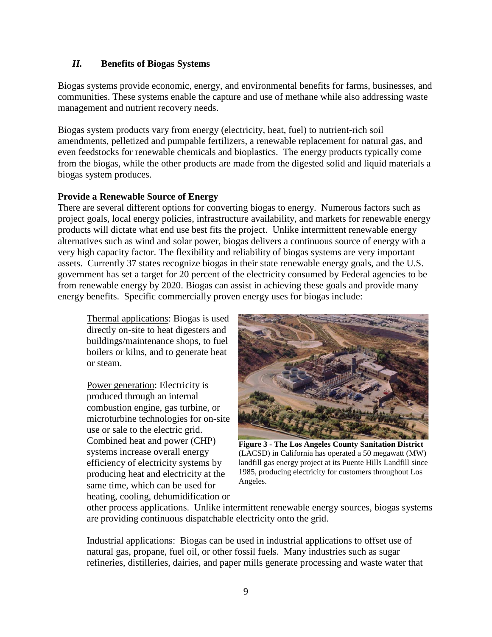# <span id="page-9-0"></span>*II.* **Benefits of Biogas Systems**

Biogas systems provide economic, energy, and environmental benefits for farms, businesses, and communities. These systems enable the capture and use of methane while also addressing waste management and nutrient recovery needs.

Biogas system products vary from energy (electricity, heat, fuel) to nutrient-rich soil amendments, pelletized and pumpable fertilizers, a renewable replacement for natural gas, and even feedstocks for renewable chemicals and bioplastics. The energy products typically come from the biogas, while the other products are made from the digested solid and liquid materials a biogas system produces.

# <span id="page-9-1"></span>**Provide a Renewable Source of Energy**

There are several different options for converting biogas to energy. Numerous factors such as project goals, local energy policies, infrastructure availability, and markets for renewable energy products will dictate what end use best fits the project. Unlike intermittent renewable energy alternatives such as wind and solar power, biogas delivers a continuous source of energy with a very high capacity factor. The flexibility and reliability of biogas systems are very important assets. Currently 37 states recognize biogas in their state renewable energy goals, and the U.S. government has set a target for 20 percent of the electricity consumed by Federal agencies to be from renewable energy by 2020. Biogas can assist in achieving these goals and provide many energy benefits. Specific commercially proven energy uses for biogas include:

Thermal applications: Biogas is used directly on-site to heat digesters and buildings/maintenance shops, to fuel boilers or kilns, and to generate heat or steam.

Power generation: Electricity is produced through an internal combustion engine, gas turbine, or microturbine technologies for on-site use or sale to the electric grid. Combined heat and power (CHP) systems increase overall energy efficiency of electricity systems by producing heat and electricity at the same time, which can be used for heating, cooling, dehumidification or



**Figure 3 - The Los Angeles County Sanitation District** (LACSD) in California has operated a 50 megawatt (MW) landfill gas energy project at its Puente Hills Landfill since 1985, producing electricity for customers throughout Los Angeles.

other process applications. Unlike intermittent renewable energy sources, biogas systems are providing continuous dispatchable electricity onto the grid.

Industrial applications: Biogas can be used in industrial applications to offset use of natural gas, propane, fuel oil, or other fossil fuels. Many industries such as sugar refineries, distilleries, dairies, and paper mills generate processing and waste water that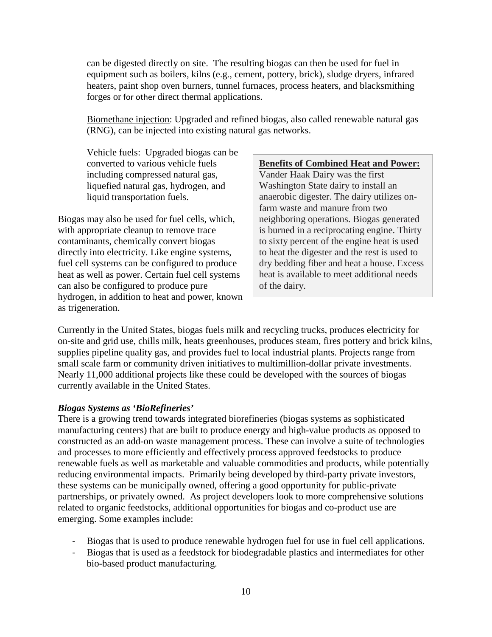can be digested directly on site. The resulting biogas can then be used for fuel in equipment such as boilers, kilns (e.g., cement, pottery, brick), sludge dryers, infrared heaters, paint shop oven burners, tunnel furnaces, process heaters, and blacksmithing forges or for other direct thermal applications.

Biomethane injection: Upgraded and refined biogas, also called renewable natural gas (RNG), can be injected into existing natural gas networks.

Vehicle fuels: Upgraded biogas can be converted to various vehicle fuels including compressed natural gas, liquefied natural gas, hydrogen, and liquid transportation fuels.

Biogas may also be used for fuel cells, which, with appropriate cleanup to remove trace contaminants, chemically convert biogas directly into electricity. Like engine systems, fuel cell systems can be configured to produce heat as well as power. Certain fuel cell systems can also be configured to produce pure hydrogen, in addition to heat and power, known as trigeneration.

#### **Benefits of Combined Heat and Power:**

Vander Haak Dairy was the first Washington State dairy to install an anaerobic digester. The dairy utilizes onfarm waste and manure from two neighboring operations. Biogas generated is burned in a reciprocating engine. Thirty to sixty percent of the engine heat is used to heat the digester and the rest is used to dry bedding fiber and heat a house. Excess heat is available to meet additional needs of the dairy.

Currently in the United States, biogas fuels milk and recycling trucks, produces electricity for on-site and grid use, chills milk, heats greenhouses, produces steam, fires pottery and brick kilns, supplies pipeline quality gas, and provides fuel to local industrial plants. Projects range from small scale farm or community driven initiatives to multimillion-dollar private investments. Nearly 11,000 additional projects like these could be developed with the sources of biogas currently available in the United States.

#### <span id="page-10-0"></span>*Biogas Systems as 'BioRefineries'*

There is a growing trend towards integrated biorefineries (biogas systems as sophisticated manufacturing centers) that are built to produce energy and high-value products as opposed to constructed as an add-on waste management process. These can involve a suite of technologies and processes to more efficiently and effectively process approved feedstocks to produce renewable fuels as well as marketable and valuable commodities and products, while potentially reducing environmental impacts. Primarily being developed by third-party private investors, these systems can be municipally owned, offering a good opportunity for public-private partnerships, or privately owned. As project developers look to more comprehensive solutions related to organic feedstocks, additional opportunities for biogas and co-product use are emerging. Some examples include:

- Biogas that is used to produce renewable hydrogen fuel for use in fuel cell applications.
- Biogas that is used as a feedstock for biodegradable plastics and intermediates for other bio-based product manufacturing.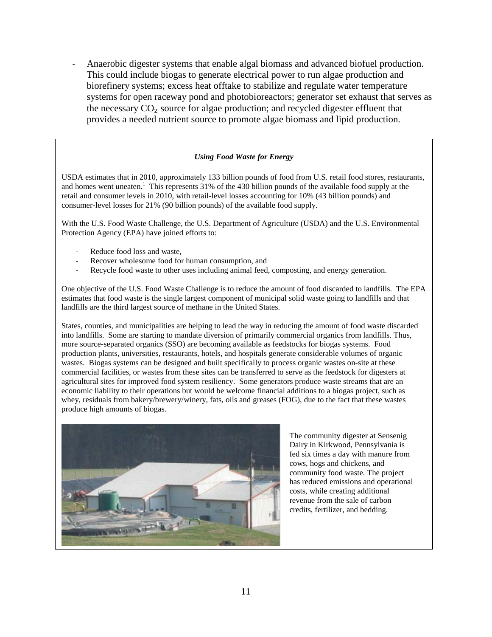- Anaerobic digester systems that enable algal biomass and advanced biofuel production. This could include biogas to generate electrical power to run algae production and biorefinery systems; excess heat offtake to stabilize and regulate water temperature systems for open raceway pond and photobioreactors; generator set exhaust that serves as the necessary  $CO<sub>2</sub>$  source for algae production; and recycled digester effluent that provides a needed nutrient source to promote algae biomass and lipid production.

#### *Using Food Waste for Energy*

USDA estimates that in 2010, approximately 133 billion pounds of food from U.S. retail food stores, restaurants, and homes went uneaten.<sup>1</sup> This represents  $31\%$  of the 430 billion pounds of the available food supply at the retail and consumer levels in 2010, with retail-level losses accounting for 10% (43 billion pounds) and consumer-level losses for 21% (90 billion pounds) of the available food supply.

With the U.S. Food Waste Challenge, the U.S. Department of Agriculture (USDA) and the U.S. Environmental Protection Agency (EPA) have joined efforts to:

- Reduce food loss and waste,
- Recover wholesome food for human consumption, and
- Recycle food waste to other uses including animal feed, composting, and energy generation.

One objective of the U.S. Food Waste Challenge is to reduce the amount of food discarded to landfills. The EPA estimates that food waste is the single largest component of municipal solid waste going to landfills and that landfills are the third largest source of methane in the United States.

States, counties, and municipalities are helping to lead the way in reducing the amount of food waste discarded into landfills. Some are starting to mandate diversion of primarily commercial organics from landfills. Thus, more source-separated organics (SSO) are becoming available as feedstocks for biogas systems. Food production plants, universities, restaurants, hotels, and hospitals generate considerable volumes of organic wastes. Biogas systems can be designed and built specifically to process organic wastes on-site at these commercial facilities, or wastes from these sites can be transferred to serve as the feedstock for digesters at agricultural sites for improved food system resiliency. Some generators produce waste streams that are an economic liability to their operations but would be welcome financial additions to a biogas project, such as whey, residuals from bakery/brewery/winery, fats, oils and greases (FOG), due to the fact that these wastes produce high amounts of biogas.



The community digester at Sensenig Dairy in Kirkwood, Pennsylvania is fed six times a day with manure from cows, hogs and chickens, and community food waste. The project has reduced emissions and operational costs, while creating additional revenue from the sale of carbon credits, fertilizer, and bedding.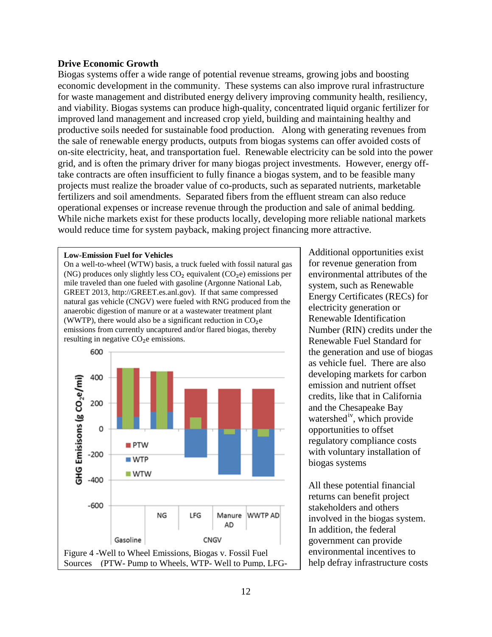#### <span id="page-12-0"></span>**Drive Economic Growth**

Biogas systems offer a wide range of potential revenue streams, growing jobs and boosting economic development in the community. These systems can also improve rural infrastructure for waste management and distributed energy delivery improving community health, resiliency, and viability. Biogas systems can produce high-quality, concentrated liquid organic fertilizer for improved land management and increased crop yield, building and maintaining healthy and productive soils needed for sustainable food production. Along with generating revenues from the sale of renewable energy products, outputs from biogas systems can offer avoided costs of on-site electricity, heat, and transportation fuel. Renewable electricity can be sold into the power grid, and is often the primary driver for many biogas project investments. However, energy offtake contracts are often insufficient to fully finance a biogas system, and to be feasible many projects must realize the broader value of co-products, such as separated nutrients, marketable fertilizers and soil amendments. Separated fibers from the effluent stream can also reduce operational expenses or increase revenue through the production and sale of animal bedding. While niche markets exist for these products locally, developing more reliable national markets would reduce time for system payback, making project financing more attractive.

#### **Low-Emission Fuel for Vehicles**

On a well-to-wheel (WTW) basis, a truck fueled with fossil natural gas (NG) produces only slightly less  $CO<sub>2</sub>$  equivalent ( $CO<sub>2</sub>e$ ) emissions per mile traveled than one fueled with gasoline (Argonne National Lab, GREET 2013, http://GREET.es.anl.gov). If that same compressed natural gas vehicle (CNGV) were fueled with RNG produced from the anaerobic digestion of manure or at a wastewater treatment plant (WWTP), there would also be a significant reduction in  $CO<sub>2</sub>e$ emissions from currently uncaptured and/or flared biogas, thereby resulting in negative CO<sub>2</sub>e emissions.



Additional opportunities exist for revenue generation from environmental attributes of the system, such as Renewable Energy Certificates (RECs) for electricity generation or Renewable Identification Number (RIN) credits under the Renewable Fuel Standard for the generation and use of biogas as vehicle fuel. There are also developing markets for carbon emission and nutrient offset credits, like that in California and the Chesapeake Bay watershed<sup>iv</sup>, which provide opportunities to offset regulatory compliance costs with voluntary installation of biogas systems

All these potential financial returns can benefit project stakeholders and others involved in the biogas system. In addition, the federal government can provide environmental incentives to help defray infrastructure costs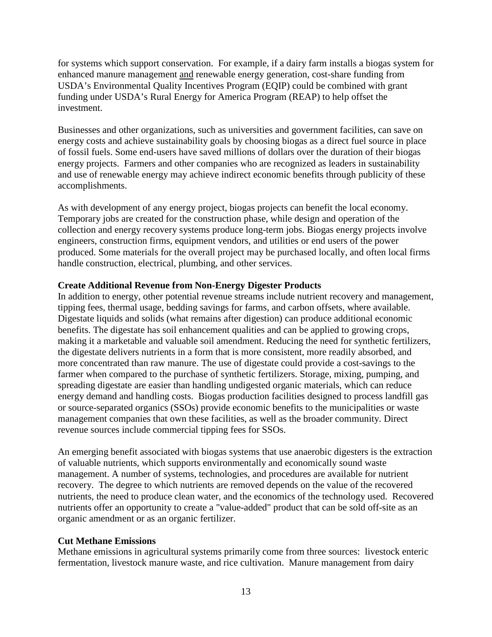for systems which support conservation. For example, if a dairy farm installs a biogas system for enhanced manure management and renewable energy generation, cost-share funding from USDA's Environmental Quality Incentives Program (EQIP) could be combined with grant funding under USDA's Rural Energy for America Program (REAP) to help offset the investment.

Businesses and other organizations, such as universities and government facilities, can save on energy costs and achieve sustainability goals by choosing biogas as a direct fuel source in place of fossil fuels. Some end-users have saved millions of dollars over the duration of their biogas energy projects. Farmers and other companies who are recognized as leaders in sustainability and use of renewable energy may achieve indirect economic benefits through publicity of these accomplishments.

As with development of any energy project, biogas projects can benefit the local economy. Temporary jobs are created for the construction phase, while design and operation of the collection and energy recovery systems produce long-term jobs. Biogas energy projects involve engineers, construction firms, equipment vendors, and utilities or end users of the power produced. Some materials for the overall project may be purchased locally, and often local firms handle construction, electrical, plumbing, and other services.

# <span id="page-13-0"></span>**Create Additional Revenue from Non-Energy Digester Products**

In addition to energy, other potential revenue streams include nutrient recovery and management, tipping fees, thermal usage, bedding savings for farms, and carbon offsets, where available. Digestate liquids and solids (what remains after digestion) can produce additional economic benefits. The digestate has soil enhancement qualities and can be applied to growing crops, making it a marketable and valuable soil amendment. Reducing the need for synthetic fertilizers, the digestate delivers nutrients in a form that is more consistent, more readily absorbed, and more concentrated than raw manure. The use of digestate could provide a cost-savings to the farmer when compared to the purchase of synthetic fertilizers. Storage, mixing, pumping, and spreading digestate are easier than handling undigested organic materials, which can reduce energy demand and handling costs. Biogas production facilities designed to process landfill gas or source-separated organics (SSOs) provide economic benefits to the municipalities or waste management companies that own these facilities, as well as the broader community. Direct revenue sources include commercial tipping fees for SSOs.

An emerging benefit associated with biogas systems that use anaerobic digesters is the extraction of valuable nutrients, which supports environmentally and economically sound waste management. A number of systems, technologies, and procedures are available for nutrient recovery. The degree to which nutrients are removed depends on the value of the recovered nutrients, the need to produce clean water, and the economics of the technology used. Recovered nutrients offer an opportunity to create a "value-added" product that can be sold off-site as an organic amendment or as an organic fertilizer.

# <span id="page-13-1"></span>**Cut Methane Emissions**

Methane emissions in agricultural systems primarily come from three sources: livestock enteric fermentation, livestock manure waste, and rice cultivation. Manure management from dairy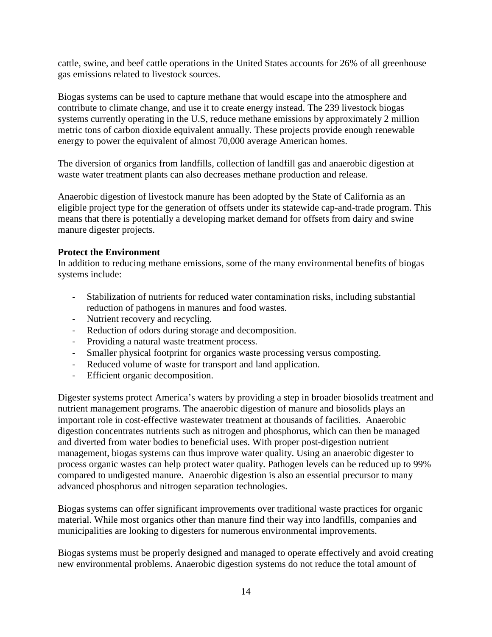cattle, swine, and beef cattle operations in the United States accounts for 26% of all greenhouse gas emissions related to livestock sources.

Biogas systems can be used to capture methane that would escape into the atmosphere and contribute to climate change, and use it to create energy instead. The 239 livestock biogas systems currently operating in the U.S, reduce methane emissions by approximately 2 million metric tons of carbon dioxide equivalent annually. These projects provide enough renewable energy to power the equivalent of almost 70,000 average American homes.

The diversion of organics from landfills, collection of landfill gas and anaerobic digestion at waste water treatment plants can also decreases methane production and release.

Anaerobic digestion of livestock manure has been adopted by the State of California as an eligible project type for the generation of offsets under its statewide cap-and-trade program. This means that there is potentially a developing market demand for offsets from dairy and swine manure digester projects.

# <span id="page-14-0"></span>**Protect the Environment**

In addition to reducing methane emissions, some of the many environmental benefits of biogas systems include:

- Stabilization of nutrients for reduced water contamination risks, including substantial reduction of pathogens in manures and food wastes.
- Nutrient recovery and recycling.
- Reduction of odors during storage and decomposition.
- Providing a natural waste treatment process.
- Smaller physical footprint for organics waste processing versus composting.
- Reduced volume of waste for transport and land application.
- Efficient organic decomposition.

Digester systems protect America's waters by providing a step in broader biosolids treatment and nutrient management programs. The anaerobic digestion of manure and biosolids plays an important role in cost-effective wastewater treatment at thousands of facilities. Anaerobic digestion concentrates nutrients such as nitrogen and phosphorus, which can then be managed and diverted from water bodies to beneficial uses. With proper post-digestion nutrient management, biogas systems can thus improve water quality. Using an anaerobic digester to process organic wastes can help protect water quality. Pathogen levels can be reduced up to 99% compared to undigested manure. Anaerobic digestion is also an essential precursor to many advanced phosphorus and nitrogen separation technologies.

Biogas systems can offer significant improvements over traditional waste practices for organic material. While most organics other than manure find their way into landfills, companies and municipalities are looking to digesters for numerous environmental improvements.

Biogas systems must be properly designed and managed to operate effectively and avoid creating new environmental problems. Anaerobic digestion systems do not reduce the total amount of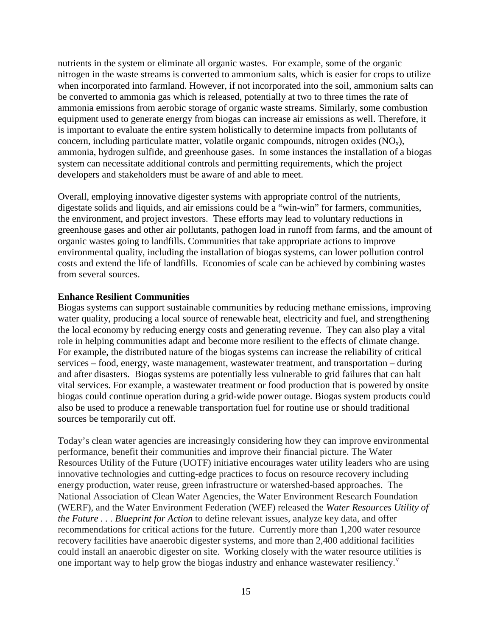nutrients in the system or eliminate all organic wastes. For example, some of the organic nitrogen in the waste streams is converted to ammonium salts, which is easier for crops to utilize when incorporated into farmland. However, if not incorporated into the soil, ammonium salts can be converted to ammonia gas which is released, potentially at two to three times the rate of ammonia emissions from aerobic storage of organic waste streams. Similarly, some combustion equipment used to generate energy from biogas can increase air emissions as well. Therefore, it is important to evaluate the entire system holistically to determine impacts from pollutants of concern, including particulate matter, volatile organic compounds, nitrogen oxides  $(NO_x)$ , ammonia, hydrogen sulfide, and greenhouse gases. In some instances the installation of a biogas system can necessitate additional controls and permitting requirements, which the project developers and stakeholders must be aware of and able to meet.

Overall, employing innovative digester systems with appropriate control of the nutrients, digestate solids and liquids, and air emissions could be a "win-win" for farmers, communities, the environment, and project investors. These efforts may lead to voluntary reductions in greenhouse gases and other air pollutants, pathogen load in runoff from farms, and the amount of organic wastes going to landfills. Communities that take appropriate actions to improve environmental quality, including the installation of biogas systems, can lower pollution control costs and extend the life of landfills. Economies of scale can be achieved by combining wastes from several sources.

#### <span id="page-15-0"></span>**Enhance Resilient Communities**

Biogas systems can support sustainable communities by reducing methane emissions, improving water quality, producing a local source of renewable heat, electricity and fuel, and strengthening the local economy by reducing energy costs and generating revenue. They can also play a vital role in helping communities adapt and become more resilient to the effects of climate change. For example, the distributed nature of the biogas systems can increase the reliability of critical services – food, energy, waste management, wastewater treatment, and transportation – during and after disasters. Biogas systems are potentially less vulnerable to grid failures that can halt vital services. For example, a wastewater treatment or food production that is powered by onsite biogas could continue operation during a grid-wide power outage. Biogas system products could also be used to produce a renewable transportation fuel for routine use or should traditional sources be temporarily cut off.

Today's clean water agencies are increasingly considering how they can improve environmental performance, benefit their communities and improve their financial picture. The Water Resources Utility of the Future (UOTF) initiative encourages water utility leaders who are using innovative technologies and cutting-edge practices to focus on resource recovery including energy production, water reuse, green infrastructure or watershed-based approaches. The National Association of Clean Water Agencies, the Water Environment Research Foundation (WERF), and the Water Environment Federation (WEF) released the *Water Resources Utility of the Future . . . Blueprint for Action* to define relevant issues, analyze key data, and offer recommendations for critical actions for the future. Currently more than 1,200 water resource recovery facilities have anaerobic digester systems, and more than 2,400 additional facilities could install an anaerobic digester on site. Working closely with the water resource utilities is one important way to help grow the biogas industry and enhance wastewater resiliency. $v^2$  $v^2$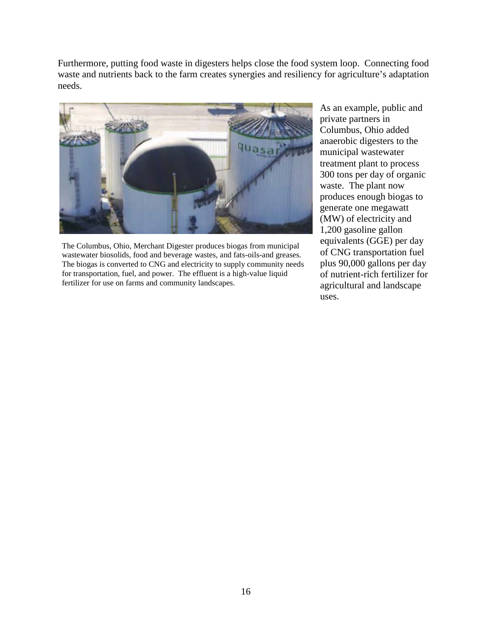Furthermore, putting food waste in digesters helps close the food system loop. Connecting food waste and nutrients back to the farm creates synergies and resiliency for agriculture's adaptation needs.



The Columbus, Ohio, Merchant Digester produces biogas from municipal wastewater biosolids, food and beverage wastes, and fats-oils-and greases. The biogas is converted to CNG and electricity to supply community needs for transportation, fuel, and power. The effluent is a high-value liquid fertilizer for use on farms and community landscapes.

As an example, public and private partners in Columbus, Ohio added anaerobic digesters to the municipal wastewater treatment plant to process 300 tons per day of organic waste. The plant now produces enough biogas to generate one megawatt (MW) of electricity and 1,200 gasoline gallon equivalents (GGE) per day of CNG transportation fuel plus 90,000 gallons per day of nutrient-rich fertilizer for agricultural and landscape uses.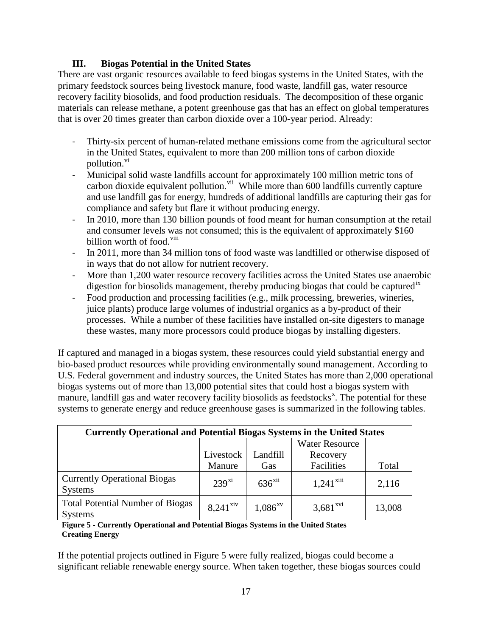# **III. Biogas Potential in the United States**

<span id="page-17-0"></span>There are vast organic resources available to feed biogas systems in the United States, with the primary feedstock sources being livestock manure, food waste, landfill gas, water resource recovery facility biosolids, and food production residuals. The decomposition of these organic materials can release methane, a potent greenhouse gas that has an effect on global temperatures that is over 20 times greater than carbon dioxide over a 100-year period. Already:

- Thirty-six percent of human-related methane emissions come from the agricultural sector in the United States, equivalent to more than 200 million tons of carbon dioxide pollution.<sup>[vi](#page-27-5)</sup>
- Municipal solid waste landfills account for approximately 100 million metric tons of carbon dioxide equivalent pollution.<sup>[vii](#page-27-6)</sup> While more than  $600$  landfills currently capture and use landfill gas for energy, hundreds of additional landfills are capturing their gas for compliance and safety but flare it without producing energy.
- In 2010, more than 130 billion pounds of food meant for human consumption at the retail and consumer levels was not consumed; this is the equivalent of approximately \$160 billion worth of food.<sup>[viii](#page-27-7)</sup>
- In 2011, more than 34 million tons of food waste was landfilled or otherwise disposed of in ways that do not allow for nutrient recovery.
- More than 1,200 water resource recovery facilities across the United States use anaerobic digestion for biosolids management, thereby producing biogas that could be captured<sup>[ix](#page-27-8)</sup>
- Food production and processing facilities (e.g., milk processing, breweries, wineries, juice plants) produce large volumes of industrial organics as a by-product of their processes. While a number of these facilities have installed on-site digesters to manage these wastes, many more processors could produce biogas by installing digesters.

If captured and managed in a biogas system, these resources could yield substantial energy and bio-based product resources while providing environmentally sound management. According to U.S. Federal government and industry sources, the United States has more than 2,000 operational biogas systems out of more than 13,000 potential sites that could host a biogas system with manure, landfill gas and water recovery facility biosolids as feedstocks<sup>[x](#page-27-9)</sup>. The potential for these systems to generate energy and reduce greenhouse gases is summarized in the following tables.

| <b>Currently Operational and Potential Biogas Systems in the United States</b> |                        |                      |                         |        |  |  |
|--------------------------------------------------------------------------------|------------------------|----------------------|-------------------------|--------|--|--|
|                                                                                |                        |                      | <b>Water Resource</b>   |        |  |  |
|                                                                                | Livestock              | Landfill             | Recovery                |        |  |  |
|                                                                                | Manure                 | Gas                  | Facilities              | Total  |  |  |
| <b>Currently Operational Biogas</b><br><b>Systems</b>                          | $239^{xi}$             | $636$ <sup>xii</sup> | $1,241$ <sup>xiii</sup> | 2,116  |  |  |
| <b>Total Potential Number of Biogas</b><br><b>Systems</b>                      | $8,241$ <sup>xiv</sup> | $1,086^{xy}$         | $3,681$ <sup>xvi</sup>  | 13,008 |  |  |

#### <span id="page-17-1"></span> **Figure 5 - Currently Operational and Potential Biogas Systems in the United States Creating Energy**

If the potential projects outlined in Figure 5 were fully realized, biogas could become a significant reliable renewable energy source. When taken together, these biogas sources could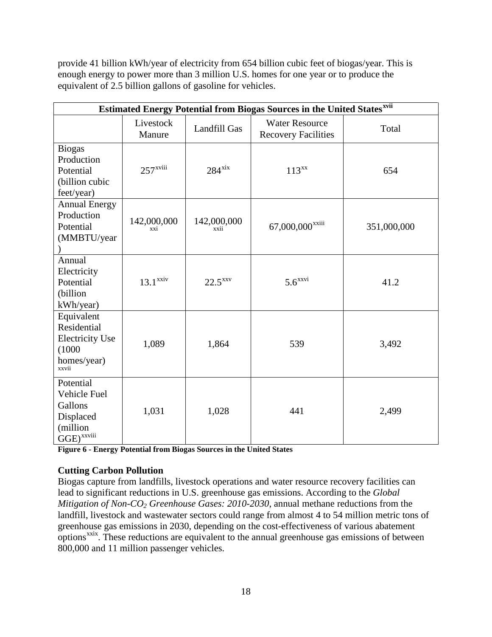provide 41 billion kWh/year of electricity from 654 billion cubic feet of biogas/year. This is enough energy to power more than 3 million U.S. homes for one year or to produce the equivalent of 2.5 billion gallons of gasoline for vehicles.

| <b>Estimated Energy Potential from Biogas Sources in the United Statesxvii</b>            |                        |                      |                                                     |             |  |  |  |  |
|-------------------------------------------------------------------------------------------|------------------------|----------------------|-----------------------------------------------------|-------------|--|--|--|--|
|                                                                                           | Livestock<br>Manure    | Landfill Gas         | <b>Water Resource</b><br><b>Recovery Facilities</b> | Total       |  |  |  |  |
| <b>Biogas</b><br>Production<br>Potential<br>(billion cubic<br>feet/year)                  | $257$ <sup>xviii</sup> | $284$ <sup>xix</sup> | $113^{xx}$                                          | 654         |  |  |  |  |
| <b>Annual Energy</b><br>Production<br>Potential<br>(MMBTU/year                            | 142,000,000<br>xxi     | 142,000,000<br>xxii  | 67,000,000 <sup>xxiii</sup>                         | 351,000,000 |  |  |  |  |
| Annual<br>Electricity<br>Potential<br>(billion<br>kWh/year)                               | $13.1$ <sup>xxiv</sup> | $22.5^{XXV}$         | $5.6$ <sup>xxvi</sup>                               | 41.2        |  |  |  |  |
| Equivalent<br>Residential<br><b>Electricity Use</b><br>(1000)<br>homes/year)<br>xxvii     | 1,089                  | 1,864                | 539                                                 | 3,492       |  |  |  |  |
| Potential<br>Vehicle Fuel<br>Gallons<br>Displaced<br>(million<br>$GGE)$ <sup>xxviii</sup> | 1,031                  | 1,028                | 441                                                 | 2,499       |  |  |  |  |

<span id="page-18-1"></span>**Figure 6 - Energy Potential from Biogas Sources in the United States**

# <span id="page-18-0"></span>**Cutting Carbon Pollution**

Biogas capture from landfills, livestock operations and water resource recovery facilities can lead to significant reductions in U.S. greenhouse gas emissions. According to the *Global Mitigation of Non-CO2 Greenhouse Gases: 2010-2030*, annual methane reductions from the landfill, livestock and wastewater sectors could range from almost 4 to 54 million metric tons of greenhouse gas emissions in 2030, depending on the cost-effectiveness of various abatement  $\overline{\text{options}}^{\text{xrix}}$ . These reductions are equivalent to the annual greenhouse gas emissions of between 800,000 and 11 million passenger vehicles.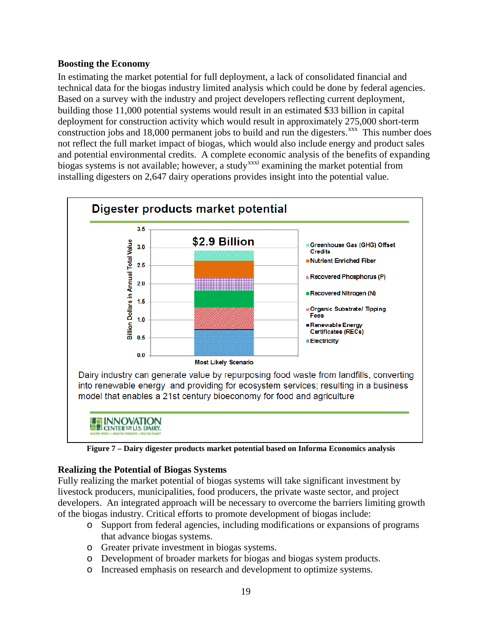# **Boosting the Economy**

In estimating the market potential for full deployment, a lack of consolidated financial and technical data for the biogas industry limited analysis which could be done by federal agencies. Based on a survey with the industry and project developers reflecting current deployment, building those 11,000 potential systems would result in an estimated \$33 billion in capital deployment for construction activity which would result in approximately 275,000 short-term construction jobs and 18,000 permanent jobs to build and run the digesters. $\frac{x}{x}$  This number does not reflect the full market impact of biogas, which would also include energy and product sales and potential environmental credits. A complete economic analysis of the benefits of expanding biogas systems is not available; however, a study<sup>[xxxi](#page-27-29)</sup> examining the market potential from installing digesters on 2,647 dairy operations provides insight into the potential value.



**Figure 7 – Dairy digester products market potential based on Informa Economics analysis**

# <span id="page-19-0"></span>**Realizing the Potential of Biogas Systems**

Fully realizing the market potential of biogas systems will take significant investment by livestock producers, municipalities, food producers, the private waste sector, and project developers. An integrated approach will be necessary to overcome the barriers limiting growth of the biogas industry. Critical efforts to promote development of biogas include:

- o Support from federal agencies, including modifications or expansions of programs that advance biogas systems.
- o Greater private investment in biogas systems.
- o Development of broader markets for biogas and biogas system products.
- o Increased emphasis on research and development to optimize systems.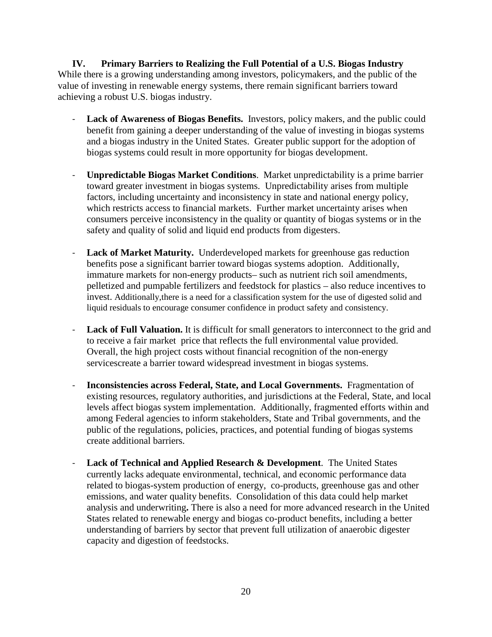<span id="page-20-0"></span>**IV. Primary Barriers to Realizing the Full Potential of a U.S. Biogas Industry** While there is a growing understanding among investors, policymakers, and the public of the value of investing in renewable energy systems, there remain significant barriers toward achieving a robust U.S. biogas industry.

- Lack of Awareness of Biogas Benefits. Investors, policy makers, and the public could benefit from gaining a deeper understanding of the value of investing in biogas systems and a biogas industry in the United States. Greater public support for the adoption of biogas systems could result in more opportunity for biogas development.
- **Unpredictable Biogas Market Conditions**. Market unpredictability is a prime barrier toward greater investment in biogas systems. Unpredictability arises from multiple factors, including uncertainty and inconsistency in state and national energy policy, which restricts access to financial markets. Further market uncertainty arises when consumers perceive inconsistency in the quality or quantity of biogas systems or in the safety and quality of solid and liquid end products from digesters.
- **Lack of Market Maturity.** Underdeveloped markets for greenhouse gas reduction benefits pose a significant barrier toward biogas systems adoption. Additionally, immature markets for non-energy products– such as nutrient rich soil amendments, pelletized and pumpable fertilizers and feedstock for plastics – also reduce incentives to invest. Additionally,there is a need for a classification system for the use of digested solid and liquid residuals to encourage consumer confidence in product safety and consistency.
- **Lack of Full Valuation.** It is difficult for small generators to interconnect to the grid and to receive a fair market price that reflects the full environmental value provided. Overall, the high project costs without financial recognition of the non-energy servicescreate a barrier toward widespread investment in biogas systems.
- **Inconsistencies across Federal, State, and Local Governments.** Fragmentation of existing resources, regulatory authorities, and jurisdictions at the Federal, State, and local levels affect biogas system implementation. Additionally, fragmented efforts within and among Federal agencies to inform stakeholders, State and Tribal governments, and the public of the regulations, policies, practices, and potential funding of biogas systems create additional barriers.
- **Lack of Technical and Applied Research & Development**. The United States currently lacks adequate environmental, technical, and economic performance data related to biogas-system production of energy, co-products, greenhouse gas and other emissions, and water quality benefits.Consolidation of this data could help market analysis and underwriting**.** There is also a need for more advanced research in the United States related to renewable energy and biogas co-product benefits, including a better understanding of barriers by sector that prevent full utilization of anaerobic digester capacity and digestion of feedstocks.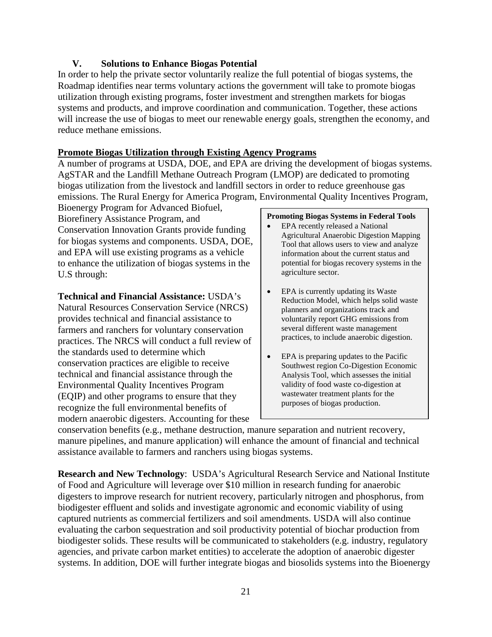# **V. Solutions to Enhance Biogas Potential**

<span id="page-21-0"></span>In order to help the private sector voluntarily realize the full potential of biogas systems, the Roadmap identifies near terms voluntary actions the government will take to promote biogas utilization through existing programs, foster investment and strengthen markets for biogas systems and products, and improve coordination and communication. Together, these actions will increase the use of biogas to meet our renewable energy goals, strengthen the economy, and reduce methane emissions.

# **Promote Biogas Utilization through Existing Agency Programs**

A number of programs at USDA, DOE, and EPA are driving the development of biogas systems. AgSTAR and the Landfill Methane Outreach Program (LMOP) are dedicated to promoting biogas utilization from the livestock and landfill sectors in order to reduce greenhouse gas emissions. The Rural Energy for America Program, Environmental Quality Incentives Program,

Bioenergy Program for Advanced Biofuel, Biorefinery Assistance Program, and Conservation Innovation Grants provide funding for biogas systems and components. USDA, DOE, and EPA will use existing programs as a vehicle to enhance the utilization of biogas systems in the U.S through:

**Technical and Financial Assistance:** USDA's

Natural Resources Conservation Service (NRCS) provides technical and financial assistance to farmers and ranchers for voluntary conservation practices. The NRCS will conduct a full review of the standards used to determine which conservation practices are eligible to receive technical and financial assistance through the Environmental Quality Incentives Program (EQIP) and other programs to ensure that they recognize the full environmental benefits of modern anaerobic digesters. Accounting for these

#### **Promoting Biogas Systems in Federal Tools**

- EPA recently released a National Agricultural Anaerobic Digestion Mapping Tool that allows users to view and analyze information about the current status and potential for biogas recovery systems in the agriculture sector.
- EPA is currently updating its Waste Reduction Model, which helps solid waste planners and organizations track and voluntarily report GHG emissions from several different waste management practices, to include anaerobic digestion.
- EPA is preparing updates to the Pacific Southwest region Co-Digestion Economic Analysis Tool, which assesses the initial validity of food waste co-digestion at wastewater treatment plants for the purposes of biogas production.

conservation benefits (e.g., methane destruction, manure separation and nutrient recovery, manure pipelines, and manure application) will enhance the amount of financial and technical assistance available to farmers and ranchers using biogas systems.

**Research and New Technology**: USDA's Agricultural Research Service and National Institute of Food and Agriculture will leverage over \$10 million in research funding for anaerobic digesters to improve research for nutrient recovery, particularly nitrogen and phosphorus, from biodigester effluent and solids and investigate agronomic and economic viability of using captured nutrients as commercial fertilizers and soil amendments. USDA will also continue evaluating the carbon sequestration and soil productivity potential of biochar production from biodigester solids. These results will be communicated to stakeholders (e.g. industry, regulatory agencies, and private carbon market entities) to accelerate the adoption of anaerobic digester systems. In addition, DOE will further integrate biogas and biosolids systems into the Bioenergy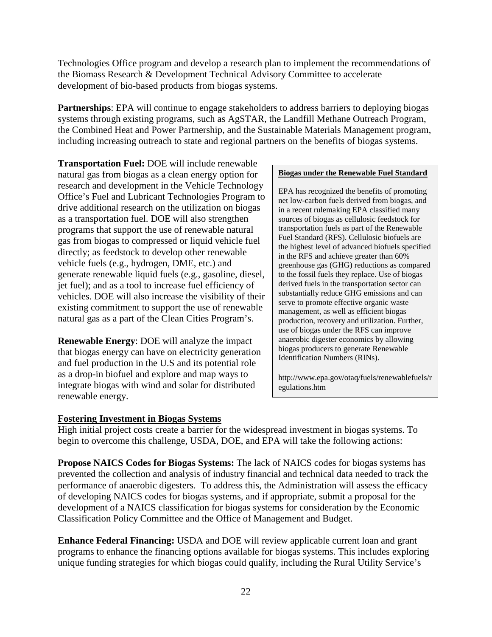Technologies Office program and develop a research plan to implement the recommendations of the Biomass Research & Development Technical Advisory Committee to accelerate development of bio-based products from biogas systems.

**Partnerships**: EPA will continue to engage stakeholders to address barriers to deploying biogas systems through existing programs, such as AgSTAR, the Landfill Methane Outreach Program, the Combined Heat and Power Partnership, and the Sustainable Materials Management program, including increasing outreach to state and regional partners on the benefits of biogas systems.

**Transportation Fuel:** DOE will include renewable natural gas from biogas as a clean energy option for research and development in the Vehicle Technology Office's Fuel and Lubricant Technologies Program to drive additional research on the utilization on biogas as a transportation fuel. DOE will also strengthen programs that support the use of renewable natural gas from biogas to compressed or liquid vehicle fuel directly; as feedstock to develop other renewable vehicle fuels (e.g., hydrogen, DME, etc.) and generate renewable liquid fuels (e.g., gasoline, diesel, jet fuel); and as a tool to increase fuel efficiency of vehicles. DOE will also increase the visibility of their existing commitment to support the use of renewable natural gas as a part of the Clean Cities Program's.

**Renewable Energy**: DOE will analyze the impact that biogas energy can have on electricity generation and fuel production in the U.S and its potential role as a drop-in biofuel and explore and map ways to integrate biogas with wind and solar for distributed renewable energy.

#### **Biogas under the Renewable Fuel Standard**

EPA has recognized the benefits of promoting net low-carbon fuels derived from biogas, and in a recent rulemaking EPA classified many sources of biogas as cellulosic feedstock for transportation fuels as part of the Renewable Fuel Standard (RFS). Cellulosic biofuels are the highest level of advanced biofuels specified in the RFS and achieve greater than 60% greenhouse gas (GHG) reductions as compared to the fossil fuels they replace. Use of biogas derived fuels in the transportation sector can substantially reduce GHG emissions and can serve to promote effective organic waste management, as well as efficient biogas production, recovery and utilization. Further, use of biogas under the RFS can improve anaerobic digester economics by allowing biogas producers to generate Renewable Identification Numbers (RINs).

http://www.epa.gov/otaq/fuels/renewablefuels/r egulations.htm

# <span id="page-22-0"></span>**Fostering Investment in Biogas Systems**

High initial project costs create a barrier for the widespread investment in biogas systems. To begin to overcome this challenge, USDA, DOE, and EPA will take the following actions:

**Propose NAICS Codes for Biogas Systems:** The lack of NAICS codes for biogas systems has prevented the collection and analysis of industry financial and technical data needed to track the performance of anaerobic digesters. To address this, the Administration will assess the efficacy of developing NAICS codes for biogas systems, and if appropriate, submit a proposal for the development of a NAICS classification for biogas systems for consideration by the Economic Classification Policy Committee and the Office of Management and Budget.

**Enhance Federal Financing:** USDA and DOE will review applicable current loan and grant programs to enhance the financing options available for biogas systems. This includes exploring unique funding strategies for which biogas could qualify, including the Rural Utility Service's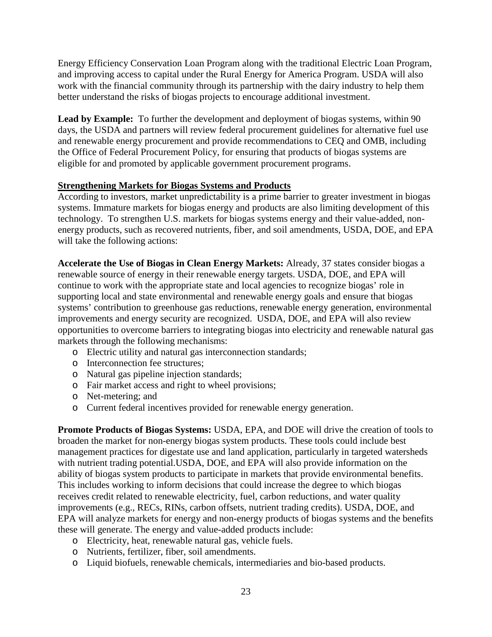Energy Efficiency Conservation Loan Program along with the traditional Electric Loan Program, and improving access to capital under the Rural Energy for America Program. USDA will also work with the financial community through its partnership with the dairy industry to help them better understand the risks of biogas projects to encourage additional investment.

Lead by Example: To further the development and deployment of biogas systems, within 90 days, the USDA and partners will review federal procurement guidelines for alternative fuel use and renewable energy procurement and provide recommendations to CEQ and OMB, including the Office of Federal Procurement Policy, for ensuring that products of biogas systems are eligible for and promoted by applicable government procurement programs.

# <span id="page-23-0"></span>**Strengthening Markets for Biogas Systems and Products**

According to investors, market unpredictability is a prime barrier to greater investment in biogas systems. Immature markets for biogas energy and products are also limiting development of this technology. To strengthen U.S. markets for biogas systems energy and their value-added, nonenergy products, such as recovered nutrients, fiber, and soil amendments, USDA, DOE, and EPA will take the following actions:

**Accelerate the Use of Biogas in Clean Energy Markets:** Already, 37 states consider biogas a renewable source of energy in their renewable energy targets. USDA, DOE, and EPA will continue to work with the appropriate state and local agencies to recognize biogas' role in supporting local and state environmental and renewable energy goals and ensure that biogas systems' contribution to greenhouse gas reductions, renewable energy generation, environmental improvements and energy security are recognized. USDA, DOE, and EPA will also review opportunities to overcome barriers to integrating biogas into electricity and renewable natural gas markets through the following mechanisms:

- o Electric utility and natural gas interconnection standards;
- o Interconnection fee structures;
- o Natural gas pipeline injection standards;
- o Fair market access and right to wheel provisions;
- o Net-metering; and
- o Current federal incentives provided for renewable energy generation.

**Promote Products of Biogas Systems:** USDA, EPA, and DOE will drive the creation of tools to broaden the market for non-energy biogas system products. These tools could include best management practices for digestate use and land application, particularly in targeted watersheds with nutrient trading potential.USDA, DOE, and EPA will also provide information on the ability of biogas system products to participate in markets that provide environmental benefits. This includes working to inform decisions that could increase the degree to which biogas receives credit related to renewable electricity, fuel, carbon reductions, and water quality improvements (e.g., RECs, RINs, carbon offsets, nutrient trading credits). USDA, DOE, and EPA will analyze markets for energy and non-energy products of biogas systems and the benefits these will generate. The energy and value-added products include:

- o Electricity, heat, renewable natural gas, vehicle fuels.
- o Nutrients, fertilizer, fiber, soil amendments.
- o Liquid biofuels, renewable chemicals, intermediaries and bio-based products.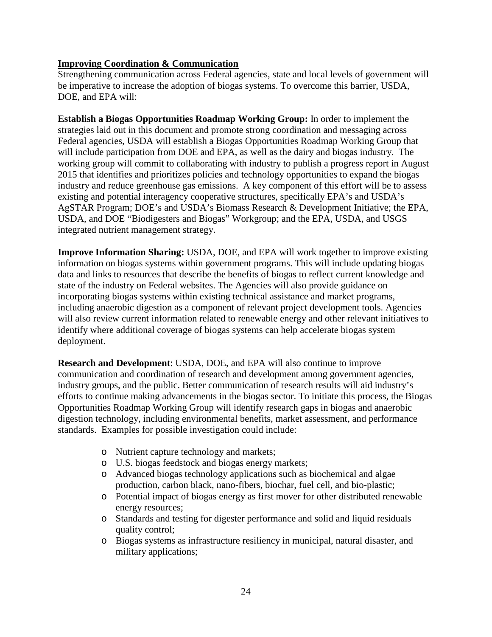# <span id="page-24-0"></span>**Improving Coordination & Communication**

Strengthening communication across Federal agencies, state and local levels of government will be imperative to increase the adoption of biogas systems. To overcome this barrier, USDA, DOE, and EPA will:

**Establish a Biogas Opportunities Roadmap Working Group:** In order to implement the strategies laid out in this document and promote strong coordination and messaging across Federal agencies, USDA will establish a Biogas Opportunities Roadmap Working Group that will include participation from DOE and EPA, as well as the dairy and biogas industry. The working group will commit to collaborating with industry to publish a progress report in August 2015 that identifies and prioritizes policies and technology opportunities to expand the biogas industry and reduce greenhouse gas emissions. A key component of this effort will be to assess existing and potential interagency cooperative structures, specifically EPA's and USDA's AgSTAR Program; DOE's and USDA's Biomass Research & Development Initiative; the EPA, USDA, and DOE "Biodigesters and Biogas" Workgroup; and the EPA, USDA, and USGS integrated nutrient management strategy.

**Improve Information Sharing:** USDA, DOE, and EPA will work together to improve existing information on biogas systems within government programs. This will include updating biogas data and links to resources that describe the benefits of biogas to reflect current knowledge and state of the industry on Federal websites. The Agencies will also provide guidance on incorporating biogas systems within existing technical assistance and market programs, including anaerobic digestion as a component of relevant project development tools. Agencies will also review current information related to renewable energy and other relevant initiatives to identify where additional coverage of biogas systems can help accelerate biogas system deployment.

**Research and Development**: USDA, DOE, and EPA will also continue to improve communication and coordination of research and development among government agencies, industry groups, and the public. Better communication of research results will aid industry's efforts to continue making advancements in the biogas sector. To initiate this process, the Biogas Opportunities Roadmap Working Group will identify research gaps in biogas and anaerobic digestion technology, including environmental benefits, market assessment, and performance standards. Examples for possible investigation could include:

- o Nutrient capture technology and markets;
- o U.S. biogas feedstock and biogas energy markets;
- o Advanced biogas technology applications such as biochemical and algae production, carbon black, nano-fibers, biochar, fuel cell, and bio-plastic;
- o Potential impact of biogas energy as first mover for other distributed renewable energy resources;
- o Standards and testing for digester performance and solid and liquid residuals quality control;
- o Biogas systems as infrastructure resiliency in municipal, natural disaster, and military applications;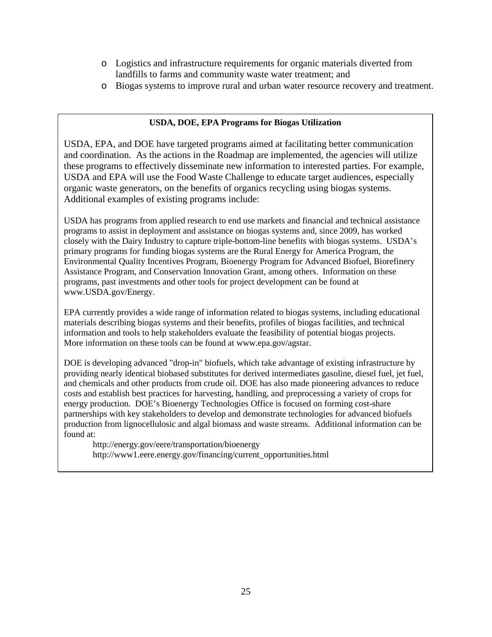- o Logistics and infrastructure requirements for organic materials diverted from landfills to farms and community waste water treatment; and
- o Biogas systems to improve rural and urban water resource recovery and treatment.

# **USDA, DOE, EPA Programs for Biogas Utilization**

USDA, EPA, and DOE have targeted programs aimed at facilitating better communication and coordination. As the actions in the Roadmap are implemented, the agencies will utilize these programs to effectively disseminate new information to interested parties. For example, USDA and EPA will use the Food Waste Challenge to educate target audiences, especially organic waste generators, on the benefits of organics recycling using biogas systems. Additional examples of existing programs include:

USDA has programs from applied research to end use markets and financial and technical assistance programs to assist in deployment and assistance on biogas systems and, since 2009, has worked closely with the Dairy Industry to capture triple-bottom-line benefits with biogas systems. USDA's primary programs for funding biogas systems are the Rural Energy for America Program, the Environmental Quality Incentives Program, Bioenergy Program for Advanced Biofuel, Biorefinery Assistance Program, and Conservation Innovation Grant, among others. Information on these programs, past investments and other tools for project development can be found at [www.USDA.gov/Energy.](http://www.usda.gov/Energy)

EPA currently provides a wide range of information related to biogas systems, including educational materials describing biogas systems and their benefits, profiles of biogas facilities, and technical information and tools to help stakeholders evaluate the feasibility of potential biogas projects. More information on these tools can be found at [www.epa.gov/agstar.](http://www.epa.gov/agstar)

DOE is developing advanced "drop-in" biofuels, which take advantage of existing infrastructure by providing nearly identical biobased substitutes for derived intermediates gasoline, diesel fuel, jet fuel, and chemicals and other products from crude oil. DOE has also made pioneering advances to reduce costs and establish best practices for harvesting, handling, and preprocessing a variety of crops for energy production. DOE's Bioenergy Technologies Office is focused on forming cost-share partnerships with key stakeholders to develop and demonstrate technologies for advanced biofuels production from lignocellulosic and algal biomass and waste streams. Additional information can be found at:

<http://energy.gov/eere/transportation/bioenergy> [http://www1.eere.energy.gov/financing/current\\_opportunities.html](http://www1.eere.energy.gov/financing/current_opportunities.html)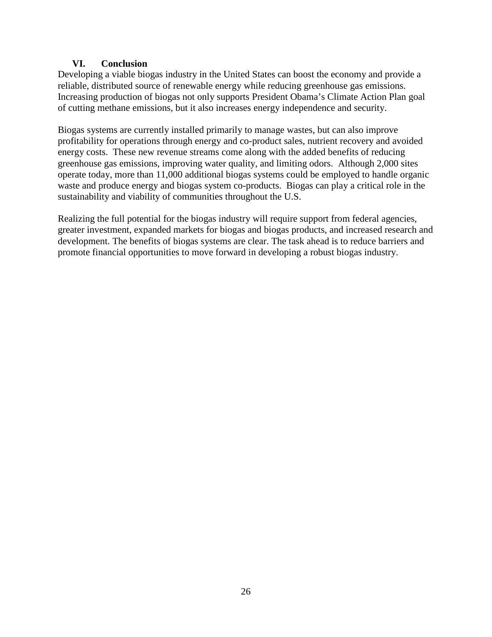# **VI. Conclusion**

<span id="page-26-0"></span>Developing a viable biogas industry in the United States can boost the economy and provide a reliable, distributed source of renewable energy while reducing greenhouse gas emissions. Increasing production of biogas not only supports President Obama's Climate Action Plan goal of cutting methane emissions, but it also increases energy independence and security.

Biogas systems are currently installed primarily to manage wastes, but can also improve profitability for operations through energy and co-product sales, nutrient recovery and avoided energy costs. These new revenue streams come along with the added benefits of reducing greenhouse gas emissions, improving water quality, and limiting odors. Although 2,000 sites operate today, more than 11,000 additional biogas systems could be employed to handle organic waste and produce energy and biogas system co-products. Biogas can play a critical role in the sustainability and viability of communities throughout the U.S.

Realizing the full potential for the biogas industry will require support from federal agencies, greater investment, expanded markets for biogas and biogas products, and increased research and development. The benefits of biogas systems are clear. The task ahead is to reduce barriers and promote financial opportunities to move forward in developing a robust biogas industry.